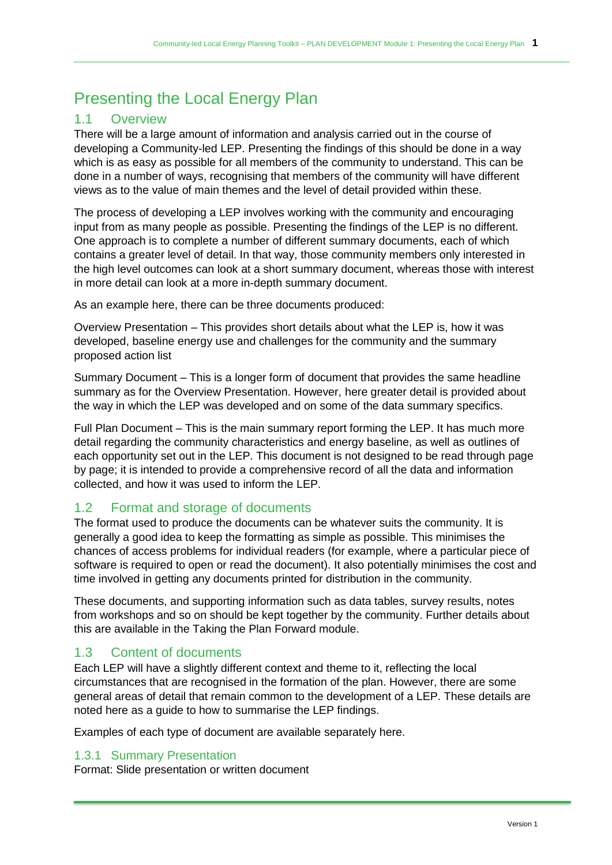# Presenting the Local Energy Plan

## 1.1 Overview

There will be a large amount of information and analysis carried out in the course of developing a Community-led LEP. Presenting the findings of this should be done in a way which is as easy as possible for all members of the community to understand. This can be done in a number of ways, recognising that members of the community will have different views as to the value of main themes and the level of detail provided within these.

The process of developing a LEP involves working with the community and encouraging input from as many people as possible. Presenting the findings of the LEP is no different. One approach is to complete a number of different summary documents, each of which contains a greater level of detail. In that way, those community members only interested in the high level outcomes can look at a short summary document, whereas those with interest in more detail can look at a more in-depth summary document.

As an example here, there can be three documents produced:

Overview Presentation – This provides short details about what the LEP is, how it was developed, baseline energy use and challenges for the community and the summary proposed action list

Summary Document – This is a longer form of document that provides the same headline summary as for the Overview Presentation. However, here greater detail is provided about the way in which the LEP was developed and on some of the data summary specifics.

Full Plan Document – This is the main summary report forming the LEP. It has much more detail regarding the community characteristics and energy baseline, as well as outlines of each opportunity set out in the LEP. This document is not designed to be read through page by page; it is intended to provide a comprehensive record of all the data and information collected, and how it was used to inform the LEP.

## 1.2 Format and storage of documents

The format used to produce the documents can be whatever suits the community. It is generally a good idea to keep the formatting as simple as possible. This minimises the chances of access problems for individual readers (for example, where a particular piece of software is required to open or read the document). It also potentially minimises the cost and time involved in getting any documents printed for distribution in the community.

These documents, and supporting information such as data tables, survey results, notes from workshops and so on should be kept together by the community. Further details about this are available in the Taking the Plan Forward module.

## 1.3 Content of documents

Each LEP will have a slightly different context and theme to it, reflecting the local circumstances that are recognised in the formation of the plan. However, there are some general areas of detail that remain common to the development of a LEP. These details are noted here as a guide to how to summarise the LEP findings.

Examples of each type of document are available separately here.

#### 1.3.1 Summary Presentation

Format: Slide presentation or written document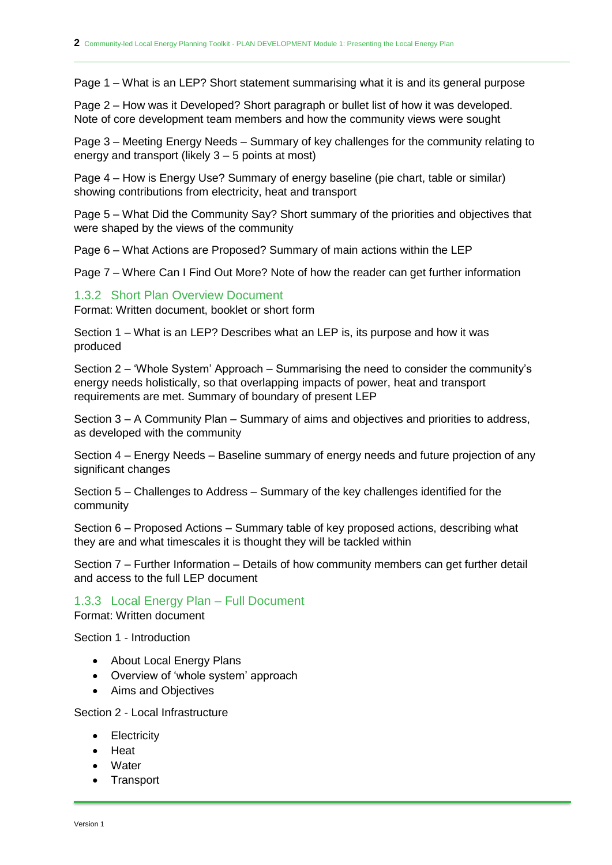Page 1 – What is an LEP? Short statement summarising what it is and its general purpose

Page 2 – How was it Developed? Short paragraph or bullet list of how it was developed. Note of core development team members and how the community views were sought

Page 3 – Meeting Energy Needs – Summary of key challenges for the community relating to energy and transport (likely 3 – 5 points at most)

Page 4 – How is Energy Use? Summary of energy baseline (pie chart, table or similar) showing contributions from electricity, heat and transport

Page 5 – What Did the Community Say? Short summary of the priorities and objectives that were shaped by the views of the community

Page 6 – What Actions are Proposed? Summary of main actions within the LEP

Page 7 – Where Can I Find Out More? Note of how the reader can get further information

#### 1.3.2 Short Plan Overview Document

Format: Written document, booklet or short form

Section 1 – What is an LEP? Describes what an LEP is, its purpose and how it was produced

Section 2 – 'Whole System' Approach – Summarising the need to consider the community's energy needs holistically, so that overlapping impacts of power, heat and transport requirements are met. Summary of boundary of present LEP

Section 3 – A Community Plan – Summary of aims and objectives and priorities to address, as developed with the community

Section 4 – Energy Needs – Baseline summary of energy needs and future projection of any significant changes

Section 5 – Challenges to Address – Summary of the key challenges identified for the community

Section 6 – Proposed Actions – Summary table of key proposed actions, describing what they are and what timescales it is thought they will be tackled within

Section 7 – Further Information – Details of how community members can get further detail and access to the full LEP document

1.3.3 Local Energy Plan – Full Document

Format: Written document

Section 1 - Introduction

- About Local Energy Plans
- Overview of 'whole system' approach
- Aims and Objectives

Section 2 - Local Infrastructure

- Electricity
- Heat
- Water
- Transport